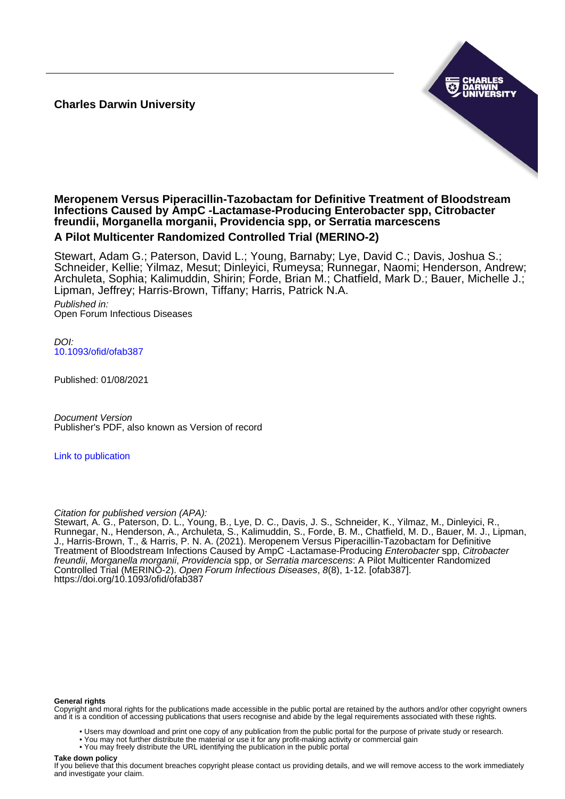**Charles Darwin University**



# **Meropenem Versus Piperacillin-Tazobactam for Definitive Treatment of Bloodstream Infections Caused by AmpC -Lactamase-Producing Enterobacter spp, Citrobacter freundii, Morganella morganii, Providencia spp, or Serratia marcescens**

# **A Pilot Multicenter Randomized Controlled Trial (MERINO-2)**

Stewart, Adam G.; Paterson, David L.; Young, Barnaby; Lye, David C.; Davis, Joshua S.; Schneider, Kellie; Yilmaz, Mesut; Dinleyici, Rumeysa; Runnegar, Naomi; Henderson, Andrew; Archuleta, Sophia; Kalimuddin, Shirin; Forde, Brian M.; Chatfield, Mark D.; Bauer, Michelle J.; Lipman, Jeffrey; Harris-Brown, Tiffany; Harris, Patrick N.A.

Published in: Open Forum Infectious Diseases

DOI: [10.1093/ofid/ofab387](https://doi.org/10.1093/ofid/ofab387)

Published: 01/08/2021

Document Version Publisher's PDF, also known as Version of record

[Link to publication](https://researchers.cdu.edu.au/en/publications/7555bdbc-dad7-4871-b3a1-cbef4fee3bb7)

# Citation for published version (APA):

Stewart, A. G., Paterson, D. L., Young, B., Lye, D. C., Davis, J. S., Schneider, K., Yilmaz, M., Dinleyici, R., Runnegar, N., Henderson, A., Archuleta, S., Kalimuddin, S., Forde, B. M., Chatfield, M. D., Bauer, M. J., Lipman, J., Harris-Brown, T., & Harris, P. N. A. (2021). Meropenem Versus Piperacillin-Tazobactam for Definitive Treatment of Bloodstream Infections Caused by AmpC -Lactamase-Producing *Enterobacter* spp, Citrobacter freundii, Morganella morganii, Providencia spp, or Serratia marcescens: A Pilot Multicenter Randomized Controlled Trial (MERINO-2). Open Forum Infectious Diseases, 8(8), 1-12. [ofab387]. <https://doi.org/10.1093/ofid/ofab387>

#### **General rights**

Copyright and moral rights for the publications made accessible in the public portal are retained by the authors and/or other copyright owners and it is a condition of accessing publications that users recognise and abide by the legal requirements associated with these rights.

- Users may download and print one copy of any publication from the public portal for the purpose of private study or research.
- You may not further distribute the material or use it for any profit-making activity or commercial gain
- You may freely distribute the URL identifying the publication in the public portal

#### **Take down policy**

If you believe that this document breaches copyright please contact us providing details, and we will remove access to the work immediately and investigate your claim.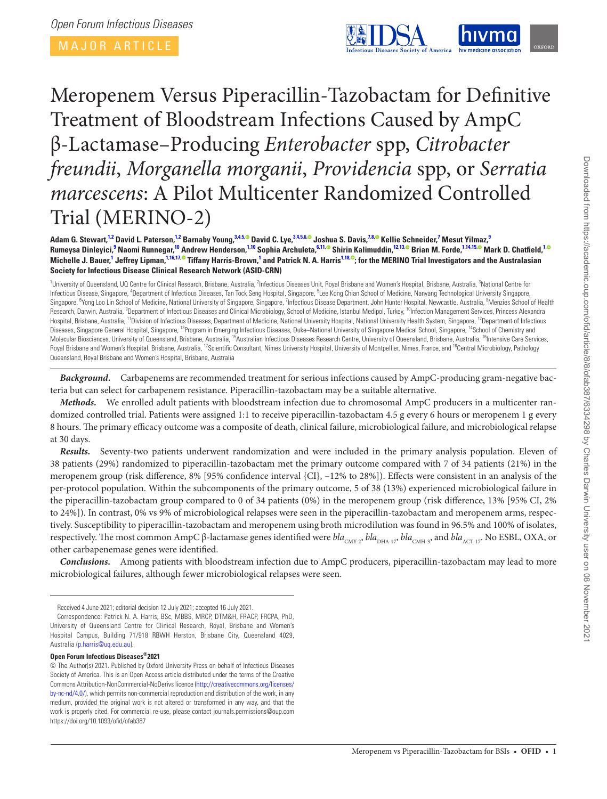MAJOR ARTICLE

<span id="page-1-15"></span><span id="page-1-7"></span><span id="page-1-2"></span>

# Meropenem Versus Piperacillin-Tazobactam for Definitive Treatment of Bloodstream Infections Caused by AmpC β-Lactamase–Producing *Enterobacter* spp, *Citrobacter freundii*, *Morganella morganii*, *Providencia* spp, or *Serratia marcescens*: A Pilot Multicenter Randomized Controlled Trial (MERINO-2)

Adam G. Stewart,<sup>1[2](#page-1-1)</sup> David L. Paterson,<sup>12</sup> Barnaby Young,<sup>[3](#page-1-2)[,4](#page-1-3),[5](#page-1-4)</sup>® David C. Lye,<sup>3,[4,](#page-1-3)5,[6](#page-1-5)</sup>® Joshua S. Davis,<sup>[7,](#page-1-6)[8](#page-1-7),®</sup> Kellie Schneider,<sup>[7](#page-1-6)</sup> Mesut Yilmaz,<sup>[9](#page-1-8)</sup> **Rumeysa Dinleyici, [9](#page-1-8) Naomi Runnegar,** <sup>[1](#page-1-0)0</sup> Andrew Henderson,<sup>1[,10](#page-1-9)</sup> Sophia Archuleta,<sup>[6](#page-1-5),[11](#page-1-10),©</sup> Shirin Kalimuddin,<sup>[12,](#page-1-11)[13](#page-1-12),©</sup> Brian M. Forde,<sup>[1,](#page-1-0)[14,](#page-1-13)[15](#page-1-14)[,](https://orcid.org/0000-0002-0004-6274)©</sup> Mark D. Chatfield,<sup>1,</sup> Michelle J. Bauer,<sup>[1](#page-1-0)</sup> Jeffrey Lipman,<sup>[1,](#page-1-0)[16,](#page-1-15)[17](#page-1-16),® Tiffany Harris-Brown,<sup>1</sup> and Patrick N. A. Harris<sup>1[,18](#page-1-17)[,](https://orcid.org/0000-0002-2895-0345)®</sup>; for the MERINO Trial Investigators and the Australasian</sup> **Society for Infectious Disease Clinical Research Network (ASID-CRN)**

<span id="page-1-13"></span><span id="page-1-12"></span><span id="page-1-11"></span><span id="page-1-10"></span><span id="page-1-9"></span><span id="page-1-8"></span><span id="page-1-6"></span><span id="page-1-5"></span><span id="page-1-4"></span><span id="page-1-3"></span><span id="page-1-1"></span><span id="page-1-0"></span><sup>1</sup>University of Queensland, UQ Centre for Clinical Research, Brisbane, Australia, <sup>2</sup>Infectious Diseases Unit, Royal Brisbane and Women's Hospital, Brisbane, Australia, <sup>3</sup>National Centre for Infectious Disease, Singapore, <sup>4</sup>Department of Infectious Diseases, Tan Tock Seng Hospital, Singapore, <sup>5</sup>Lee Kong Chian School of Medicine, Nanyang Technological University Singapore, Singapore, <sup>6</sup>Yong Loo Lin School of Medicine, National University of Singapore, Singapore, <sup>7</sup>Infectious Disease Department, John Hunter Hospital, Newcastle, Australia, <sup>8</sup>Menzies School of Health Research, Darwin, Australia, <sup>9</sup>Department of Infectious Diseases and Clinical Microbiology, School of Medicine, Istanbul Medipol, Turkey, <sup>10</sup>Infection Management Services, Princess Alexandra Hospital, Brisbane, Australia, <sup>11</sup>Division of Infectious Diseases, Department of Medicine, National University Hospital, National University Health System, Singapore, <sup>12</sup>Department of Infectious Diseases, Singapore General Hospital, Singapore, <sup>13</sup>Program in Emerging Infectious Diseases, Duke–National University of Singapore Medical School, Singapore, <sup>14</sup>School of Chemistry and Molecular Biosciences, University of Queensland, Brisbane, Australia, <sup>15</sup>Australian Infectious Diseases Research Centre, University of Queensland, Brisbane, Australia, <sup>16</sup>Intensive Care Services, Royal Brisbane and Women's Hospital, Brisbane, Australia, <sup>17</sup>Scientific Consultant, Nimes University Hospital, University of Montpellier, Nimes, France, and <sup>18</sup>Central Microbiology, Pathology Queensland, Royal Brisbane and Women's Hospital, Brisbane, Australia

<span id="page-1-17"></span><span id="page-1-16"></span><span id="page-1-14"></span>*Background.* Carbapenems are recommended treatment for serious infections caused by AmpC-producing gram-negative bacteria but can select for carbapenem resistance. Piperacillin-tazobactam may be a suitable alternative.

*Methods.* We enrolled adult patients with bloodstream infection due to chromosomal AmpC producers in a multicenter randomized controlled trial. Patients were assigned 1:1 to receive piperacillin-tazobactam 4.5 g every 6 hours or meropenem 1 g every 8 hours. The primary efficacy outcome was a composite of death, clinical failure, microbiological failure, and microbiological relapse at 30 days.

*Results.* Seventy-two patients underwent randomization and were included in the primary analysis population. Eleven of 38 patients (29%) randomized to piperacillin-tazobactam met the primary outcome compared with 7 of 34 patients (21%) in the meropenem group (risk difference, 8% [95% confidence interval {CI}, –12% to 28%]). Effects were consistent in an analysis of the per-protocol population. Within the subcomponents of the primary outcome, 5 of 38 (13%) experienced microbiological failure in the piperacillin-tazobactam group compared to 0 of 34 patients (0%) in the meropenem group (risk difference, 13% [95% CI, 2% to 24%]). In contrast, 0% vs 9% of microbiological relapses were seen in the piperacillin-tazobactam and meropenem arms, respectively. Susceptibility to piperacillin-tazobactam and meropenem using broth microdilution was found in 96.5% and 100% of isolates, respectively. The most common AmpC β-lactamase genes identified were  $bla_{\rm CMY-2}$ ,  $bla_{\rm DHA-17}$ ,  $bla_{\rm CMH-3}$ , and  $bla_{\rm ACT-17}$ . No ESBL, OXA, or other carbapenemase genes were identified.

*Conclusions.* Among patients with bloodstream infection due to AmpC producers, piperacillin-tazobactam may lead to more microbiological failures, although fewer microbiological relapses were seen.

# **Open Forum Infectious Diseases®2021**

Received 4 June 2021; editorial decision 12 July 2021; accepted 16 July 2021.

Correspondence: Patrick N. A. Harris, BSc, MBBS, MRCP, DTM&H, FRACP, FRCPA, PhD, University of Queensland Centre for Clinical Research, Royal, Brisbane and Women's Hospital Campus, Building 71/918 RBWH Herston, Brisbane City, Queensland 4029, Australia [\(p.harris@uq.edu.au\)](mailto:p.harris@uq.edu.au?subject=).

<sup>©</sup> The Author(s) 2021. Published by Oxford University Press on behalf of Infectious Diseases Society of America. This is an Open Access article distributed under the terms of the Creative Commons Attribution-NonCommercial-NoDerivs licence [\(http://creativecommons.org/licenses/](http://creativecommons.org/licenses/by-nc-nd/4.0/) [by-nc-nd/4.0/](http://creativecommons.org/licenses/by-nc-nd/4.0/)), which permits non-commercial reproduction and distribution of the work, in any medium, provided the original work is not altered or transformed in any way, and that the work is properly cited. For commercial re-use, please contact journals.permissions@oup.com <https://doi.org/10.1093/ofid/ofab387>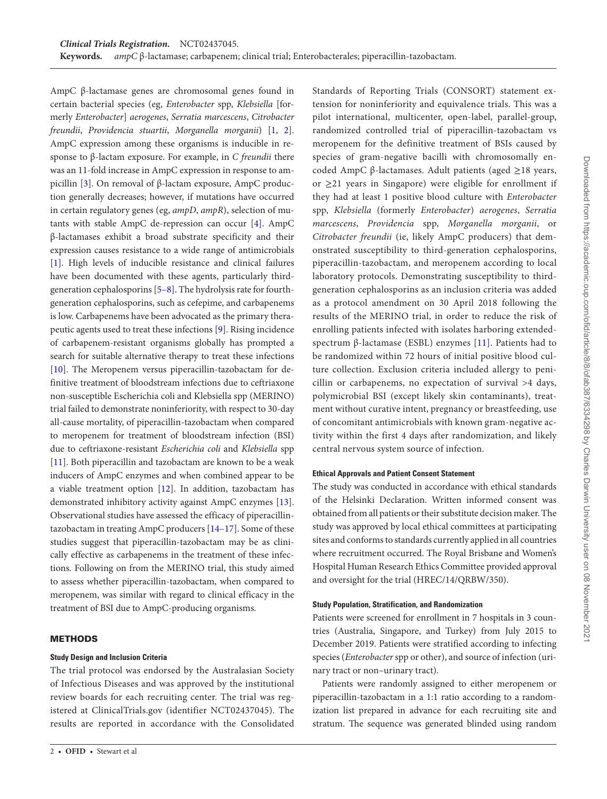AmpC β-lactamase genes are chromosomal genes found in certain bacterial species (eg, *Enterobacter* spp, *Klebsiella* [formerly *Enterobacter*] *aerogenes*, *Serratia marcescens*, *Citrobacter freundii*, *Providencia stuartii*, *Morganella morganii*) [[1](#page-12-0), [2\]](#page-12-1). AmpC expression among these organisms is inducible in response to β-lactam exposure. For example, in *C freundii* there was an 11-fold increase in AmpC expression in response to ampicillin [[3](#page-12-2)]. On removal of β-lactam exposure, AmpC production generally decreases; however, if mutations have occurred in certain regulatory genes (eg, *ampD*, *ampR*), selection of mutants with stable AmpC de-repression can occur [[4](#page-12-3)]. AmpC β-lactamases exhibit a broad substrate specificity and their expression causes resistance to a wide range of antimicrobials [\[1\]](#page-12-0). High levels of inducible resistance and clinical failures have been documented with these agents, particularly thirdgeneration cephalosporins [[5](#page-12-4)[–8\]](#page-12-5). The hydrolysis rate for fourthgeneration cephalosporins, such as cefepime, and carbapenems is low. Carbapenems have been advocated as the primary therapeutic agents used to treat these infections [\[9](#page-12-6)]. Rising incidence of carbapenem-resistant organisms globally has prompted a search for suitable alternative therapy to treat these infections [\[10](#page-12-7)]. The Meropenem versus piperacillin-tazobactam for definitive treatment of bloodstream infections due to ceftriaxone non-susceptible Escherichia coli and Klebsiella spp (MERINO) trial failed to demonstrate noninferiority, with respect to 30-day all-cause mortality, of piperacillin-tazobactam when compared to meropenem for treatment of bloodstream infection (BSI) due to ceftriaxone-resistant *Escherichia coli* and *Klebsiella* spp [\[11](#page-12-8)]. Both piperacillin and tazobactam are known to be a weak inducers of AmpC enzymes and when combined appear to be a viable treatment option [[12\]](#page-12-9). In addition, tazobactam has demonstrated inhibitory activity against AmpC enzymes [\[13\]](#page-12-10). Observational studies have assessed the efficacy of piperacillintazobactam in treating AmpC producers [[14–](#page-12-11)[17\]](#page-12-12). Some of these studies suggest that piperacillin-tazobactam may be as clinically effective as carbapenems in the treatment of these infections. Following on from the MERINO trial, this study aimed to assess whether piperacillin-tazobactam, when compared to meropenem, was similar with regard to clinical efficacy in the treatment of BSI due to AmpC-producing organisms.

# **METHODS**

# **Study Design and Inclusion Criteria**

The trial protocol was endorsed by the Australasian Society of Infectious Diseases and was approved by the institutional review boards for each recruiting center. The trial was registered at ClinicalTrials.gov (identifier NCT02437045). The results are reported in accordance with the Consolidated Standards of Reporting Trials (CONSORT) statement extension for noninferiority and equivalence trials. This was a pilot international, multicenter, open-label, parallel-group, randomized controlled trial of piperacillin-tazobactam vs meropenem for the definitive treatment of BSIs caused by species of gram-negative bacilli with chromosomally encoded AmpC β-lactamases. Adult patients (aged ≥18 years, or ≥21 years in Singapore) were eligible for enrollment if they had at least 1 positive blood culture with *Enterobacter* spp, *Klebsiella* (formerly *Enterobacter*) *aerogenes*, *Serratia marcescens*, *Providencia* spp, *Morganella morganii*, or *Citrobacter freundii* (ie, likely AmpC producers) that demonstrated susceptibility to third-generation cephalosporins, piperacillin-tazobactam, and meropenem according to local laboratory protocols. Demonstrating susceptibility to thirdgeneration cephalosporins as an inclusion criteria was added as a protocol amendment on 30 April 2018 following the results of the MERINO trial, in order to reduce the risk of enrolling patients infected with isolates harboring extendedspectrum β-lactamase (ESBL) enzymes [\[11\]](#page-12-8). Patients had to be randomized within 72 hours of initial positive blood culture collection. Exclusion criteria included allergy to penicillin or carbapenems, no expectation of survival >4 days, polymicrobial BSI (except likely skin contaminants), treatment without curative intent, pregnancy or breastfeeding, use of concomitant antimicrobials with known gram-negative activity within the first 4 days after randomization, and likely central nervous system source of infection.

# **Ethical Approvals and Patient Consent Statement**

The study was conducted in accordance with ethical standards of the Helsinki Declaration. Written informed consent was obtained from all patients or their substitute decision maker. The study was approved by local ethical committees at participating sites and conforms to standards currently applied in all countries where recruitment occurred. The Royal Brisbane and Women's Hospital Human Research Ethics Committee provided approval and oversight for the trial (HREC/14/QRBW/350).

# **Study Population, Stratification, and Randomization**

Patients were screened for enrollment in 7 hospitals in 3 countries (Australia, Singapore, and Turkey) from July 2015 to December 2019. Patients were stratified according to infecting species (*Enterobacter* spp or other), and source of infection (urinary tract or non–urinary tract).

Patients were randomly assigned to either meropenem or piperacillin-tazobactam in a 1:1 ratio according to a randomization list prepared in advance for each recruiting site and stratum. The sequence was generated blinded using random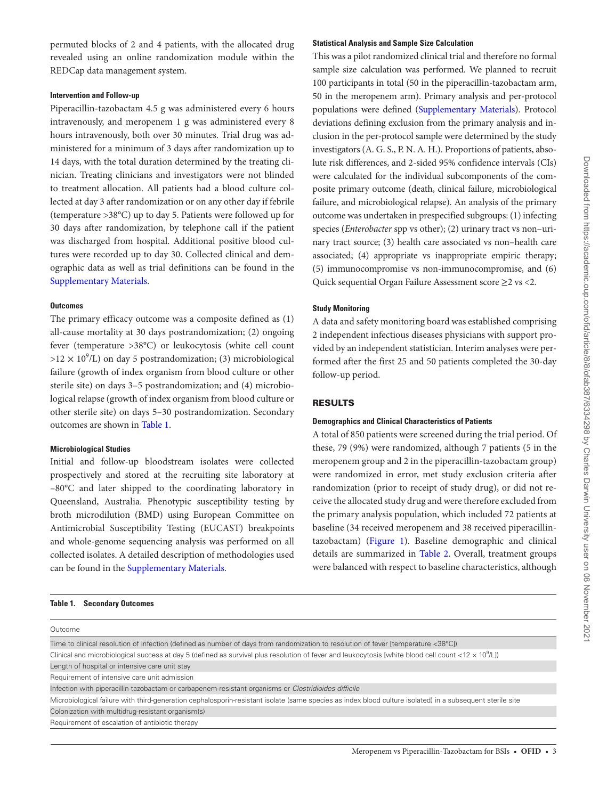permuted blocks of 2 and 4 patients, with the allocated drug revealed using an online randomization module within the REDCap data management system.

#### **Intervention and Follow-up**

Piperacillin-tazobactam 4.5 g was administered every 6 hours intravenously, and meropenem 1 g was administered every 8 hours intravenously, both over 30 minutes. Trial drug was administered for a minimum of 3 days after randomization up to 14 days, with the total duration determined by the treating clinician. Treating clinicians and investigators were not blinded to treatment allocation. All patients had a blood culture collected at day 3 after randomization or on any other day if febrile (temperature >38°C) up to day 5. Patients were followed up for 30 days after randomization, by telephone call if the patient was discharged from hospital. Additional positive blood cultures were recorded up to day 30. Collected clinical and demographic data as well as trial definitions can be found in the [Supplementary Materials](http://academic.oup.com/ofid/article-lookup/doi/10.1093/ofid/ofab387#supplementary-data).

#### **Outcomes**

The primary efficacy outcome was a composite defined as (1) all-cause mortality at 30 days postrandomization; (2) ongoing fever (temperature >38°C) or leukocytosis (white cell count  $>12 \times 10^9$ /L) on day 5 postrandomization; (3) microbiological failure (growth of index organism from blood culture or other sterile site) on days 3–5 postrandomization; and (4) microbiological relapse (growth of index organism from blood culture or other sterile site) on days 5–30 postrandomization. Secondary outcomes are shown in [Table 1](#page-3-0).

## **Microbiological Studies**

Initial and follow-up bloodstream isolates were collected prospectively and stored at the recruiting site laboratory at –80°C and later shipped to the coordinating laboratory in Queensland, Australia. Phenotypic susceptibility testing by broth microdilution (BMD) using European Committee on Antimicrobial Susceptibility Testing (EUCAST) breakpoints and whole-genome sequencing analysis was performed on all collected isolates. A detailed description of methodologies used can be found in the [Supplementary Materials.](http://academic.oup.com/ofid/article-lookup/doi/10.1093/ofid/ofab387#supplementary-data)

#### <span id="page-3-0"></span>**Table 1. Secondary Outcomes**

# **Statistical Analysis and Sample Size Calculation**

This was a pilot randomized clinical trial and therefore no formal sample size calculation was performed. We planned to recruit 100 participants in total (50 in the piperacillin-tazobactam arm, 50 in the meropenem arm). Primary analysis and per-protocol populations were defined ([Supplementary Materials](http://academic.oup.com/ofid/article-lookup/doi/10.1093/ofid/ofab387#supplementary-data)). Protocol deviations defining exclusion from the primary analysis and inclusion in the per-protocol sample were determined by the study investigators (A. G. S., P. N. A. H.). Proportions of patients, absolute risk differences, and 2-sided 95% confidence intervals (CIs) were calculated for the individual subcomponents of the composite primary outcome (death, clinical failure, microbiological failure, and microbiological relapse). An analysis of the primary outcome was undertaken in prespecified subgroups: (1) infecting species (*Enterobacter* spp vs other); (2) urinary tract vs non–urinary tract source; (3) health care associated vs non–health care associated; (4) appropriate vs inappropriate empiric therapy; (5) immunocompromise vs non-immunocompromise, and (6) Quick sequential Organ Failure Assessment score ≥2 vs <2.

#### **Study Monitoring**

A data and safety monitoring board was established comprising 2 independent infectious diseases physicians with support provided by an independent statistician. Interim analyses were performed after the first 25 and 50 patients completed the 30-day follow-up period.

# RESULTS

# **Demographics and Clinical Characteristics of Patients**

A total of 850 patients were screened during the trial period. Of these, 79 (9%) were randomized, although 7 patients (5 in the meropenem group and 2 in the piperacillin-tazobactam group) were randomized in error, met study exclusion criteria after randomization (prior to receipt of study drug), or did not receive the allocated study drug and were therefore excluded from the primary analysis population, which included 72 patients at baseline (34 received meropenem and 38 received piperacillintazobactam) ([Figure 1\)](#page-4-0). Baseline demographic and clinical details are summarized in [Table 2.](#page-5-0) Overall, treatment groups were balanced with respect to baseline characteristics, although

| Outcome                                                                                                                                                                |
|------------------------------------------------------------------------------------------------------------------------------------------------------------------------|
| Time to clinical resolution of infection (defined as number of days from randomization to resolution of fever [temperature <38°C])                                     |
| Clinical and microbiological success at day 5 (defined as survival plus resolution of fever and leukocytosis [white blood cell count <12 $\times$ 10 <sup>9</sup> /L]) |
| Length of hospital or intensive care unit stay                                                                                                                         |
| Requirement of intensive care unit admission                                                                                                                           |
| Infection with piperacillin-tazobactam or carbapenem-resistant organisms or Clostridioides difficile                                                                   |
| Microbiological failure with third-generation cephalosporin-resistant isolate (same species as index blood culture isolated) in a subsequent sterile site              |
| Colonization with multidrug-resistant organism(s)                                                                                                                      |
| Requirement of escalation of antibiotic therapy                                                                                                                        |
|                                                                                                                                                                        |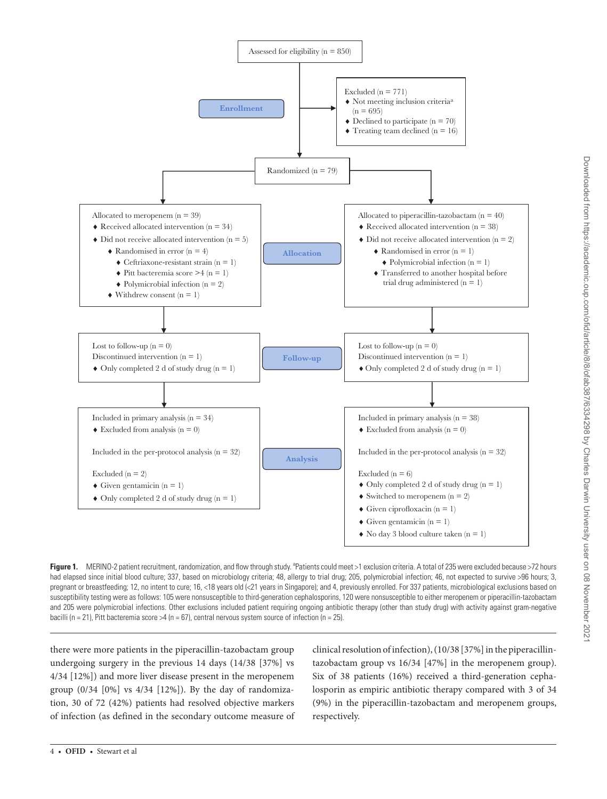

<span id="page-4-0"></span>Figure 1. MERINO-2 patient recruitment, randomization, and flow through study. <sup>a</sup>Patients could meet >1 exclusion criteria. A total of 235 were excluded because >72 hours had elapsed since initial blood culture; 337, based on microbiology criteria; 48, allergy to trial drug; 205, polymicrobial infection; 46, not expected to survive >96 hours; 3, pregnant or breastfeeding; 12, no intent to cure; 16, <18 years old (<21 years in Singapore); and 4, previously enrolled. For 337 patients, microbiological exclusions based on susceptibility testing were as follows: 105 were nonsusceptible to third-generation cephalosporins, 120 were nonsusceptible to either meropenem or piperacillin-tazobactam and 205 were polymicrobial infections. Other exclusions included patient requiring ongoing antibiotic therapy (other than study drug) with activity against gram-negative bacilli (n = 21), Pitt bacteremia score >4 (n = 67), central nervous system source of infection (n = 25).

there were more patients in the piperacillin-tazobactam group undergoing surgery in the previous 14 days (14/38 [37%] vs 4/34 [12%]) and more liver disease present in the meropenem group (0/34 [0%] vs 4/34 [12%]). By the day of randomization, 30 of 72 (42%) patients had resolved objective markers of infection (as defined in the secondary outcome measure of clinical resolution of infection), (10/38 [37%] in the piperacillintazobactam group vs 16/34 [47%] in the meropenem group). Six of 38 patients (16%) received a third-generation cephalosporin as empiric antibiotic therapy compared with 3 of 34 (9%) in the piperacillin-tazobactam and meropenem groups, respectively.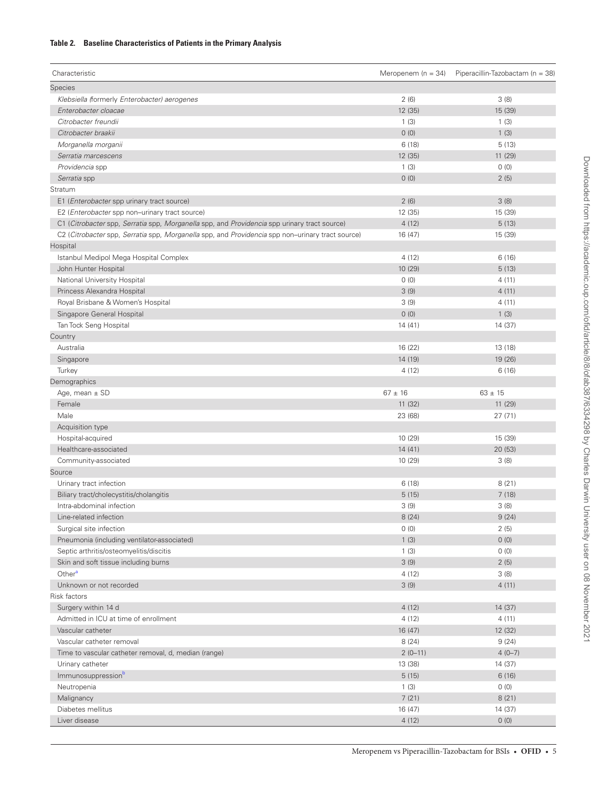# <span id="page-5-0"></span>**Table 2. Baseline Characteristics of Patients in the Primary Analysis**

| Characteristic                                                                                   | Meropenem (n = $34$ ) | Piperacillin-Tazobactam (n = 38) |
|--------------------------------------------------------------------------------------------------|-----------------------|----------------------------------|
| Species                                                                                          |                       |                                  |
| Klebsiella (formerly Enterobacter) aerogenes                                                     | 2(6)                  | 3(8)                             |
| Enterobacter cloacae                                                                             | 12 (35)               | 15 (39)                          |
| Citrobacter freundii                                                                             | 1(3)                  | 1(3)                             |
| Citrobacter braakii                                                                              | 0(0)                  | 1(3)                             |
| Morganella morganii                                                                              | 6(18)                 | 5(13)                            |
| Serratia marcescens                                                                              | 12 (35)               | 11 (29)                          |
| Providencia spp                                                                                  | 1(3)                  | 0(0)                             |
| Serratia spp                                                                                     | 0(0)                  | 2(5)                             |
| Stratum                                                                                          |                       |                                  |
| E1 ( <i>Enterobacter</i> spp urinary tract source)                                               | 2(6)                  | 3(8)                             |
| E2 (Enterobacter spp non-urinary tract source)                                                   | 12 (35)               | 15 (39)                          |
| C1 (Citrobacter spp, Serratia spp, Morganella spp, and Providencia spp urinary tract source)     | 4(12)                 | 5(13)                            |
| C2 (Citrobacter spp, Serratia spp, Morganella spp, and Providencia spp non-urinary tract source) | 16 (47)               | 15 (39)                          |
| Hospital                                                                                         |                       |                                  |
| Istanbul Medipol Mega Hospital Complex                                                           | 4(12)                 | 6(16)                            |
| John Hunter Hospital                                                                             | 10 (29)               | 5(13)                            |
| National University Hospital                                                                     | 0(0)                  | 4(11)                            |
| Princess Alexandra Hospital                                                                      | 3(9)                  | 4(11)                            |
| Royal Brisbane & Women's Hospital                                                                | 3(9)                  | 4(11)                            |
| Singapore General Hospital                                                                       | 0(0)                  | 1(3)                             |
| Tan Tock Seng Hospital                                                                           | 14(41)                | 14 (37)                          |
| Country                                                                                          |                       |                                  |
| Australia                                                                                        | 16 (22)               | 13 (18)                          |
| Singapore                                                                                        | 14 (19)               | 19 (26)                          |
| Turkey                                                                                           | 4(12)                 | 6(16)                            |
| Demographics                                                                                     |                       |                                  |
| Age, mean $\pm$ SD                                                                               | $67 \pm 16$           | $63 \pm 15$                      |
| Female                                                                                           | 11(32)                | 11(29)                           |
| Male                                                                                             | 23 (68)               | 27(71)                           |
| Acquisition type                                                                                 |                       |                                  |
| Hospital-acquired                                                                                | 10 (29)               | 15 (39)                          |
| Healthcare-associated                                                                            | 14(41)                | 20(53)                           |
| Community-associated                                                                             | 10 (29)               | 3(8)                             |
| Source                                                                                           |                       |                                  |
| Urinary tract infection                                                                          | 6(18)                 | 8(21)                            |
| Biliary tract/cholecystitis/cholangitis                                                          | 5(15)                 | 7(18)                            |
| Intra-abdominal infection                                                                        | 3(9)                  | 3(8)                             |
| Line-related infection                                                                           | 8(24)                 | 9(24)                            |
| Surgical site infection                                                                          | 0(0)                  | 2(5)                             |
| Pneumonia (including ventilator-associated)                                                      | 1(3)                  | 0(0)                             |
| Septic arthritis/osteomyelitis/discitis                                                          | 1(3)                  | 0(0)                             |
| Skin and soft tissue including burns                                                             | 3(9)                  | 2(5)                             |
| Other <sup>a</sup>                                                                               | 4(12)                 | 3(8)                             |
| Unknown or not recorded                                                                          | 3(9)                  | 4(11)                            |
| Risk factors                                                                                     |                       |                                  |
| Surgery within 14 d                                                                              | 4(12)                 | 14 (37)                          |
| Admitted in ICU at time of enrollment                                                            | 4(12)                 | 4 (11)                           |
| Vascular catheter                                                                                | 16 (47)               | 12 (32)                          |
| Vascular catheter removal                                                                        | 8(24)                 | 9(24)                            |
| Time to vascular catheter removal, d, median (range)                                             | $2(0-11)$             | $4(0-7)$                         |
| Urinary catheter                                                                                 | 13 (38)               | 14 (37)                          |
| Immunosuppression <sup>b</sup>                                                                   | 5(15)                 | 6(16)                            |
| Neutropenia                                                                                      | 1(3)                  | 0(0)                             |
| Malignancy                                                                                       | 7(21)                 | 8(21)                            |
| Diabetes mellitus                                                                                | 16 (47)               | 14 (37)                          |
| Liver disease                                                                                    | 4(12)                 | 0(0)                             |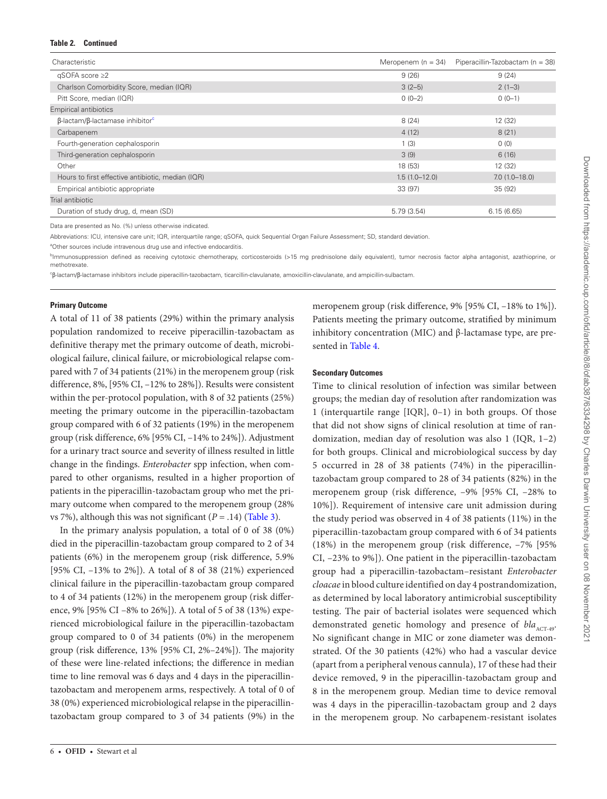#### **Table 2. Continued**

| Characteristic                                           | Meropenem ( $n = 34$ ) | Piperacillin-Tazobactam (n = 38) |
|----------------------------------------------------------|------------------------|----------------------------------|
| $qSOFA$ score $\geq 2$                                   | 9(26)                  | 9(24)                            |
| Charlson Comorbidity Score, median (IQR)                 | $3(2-5)$               | $2(1-3)$                         |
| Pitt Score, median (IQR)                                 | $0(0-2)$               | $0(0-1)$                         |
| <b>Empirical antibiotics</b>                             |                        |                                  |
| $\beta$ -lactam/ $\beta$ -lactamase inhibitor $\epsilon$ | 8(24)                  | 12 (32)                          |
| Carbapenem                                               | 4(12)                  | 8(21)                            |
| Fourth-generation cephalosporin                          | 1(3)                   | 0(0)                             |
| Third-generation cephalosporin                           | 3(9)                   | 6(16)                            |
| Other                                                    | 18 (53)                | 12 (32)                          |
| Hours to first effective antibiotic, median (IQR)        | $1.5(1.0-12.0)$        | $7.0(1.0-18.0)$                  |
| Empirical antibiotic appropriate                         | 33 (97)                | 35 (92)                          |
| Trial antibiotic                                         |                        |                                  |
| Duration of study drug, d, mean (SD)                     | 5.79(3.54)             | 6.15(6.65)                       |

Data are presented as No. (%) unless otherwise indicated.

Abbreviations: ICU, intensive care unit; IQR, interquartile range; qSOFA, quick Sequential Organ Failure Assessment; SD, standard deviation.

<span id="page-6-0"></span><sup>a</sup>Other sources include intravenous drug use and infective endocarditis.

<span id="page-6-1"></span><sup>b</sup>Immunosuppression defined as receiving cytotoxic chemotherapy, corticosteroids (>15 mg prednisolone daily equivalent), tumor necrosis factor alpha antagonist, azathioprine, or methotrexate.

<span id="page-6-2"></span>c β-lactam/β-lactamase inhibitors include piperacillin-tazobactam, ticarcillin-clavulanate, amoxicillin-clavulanate, and ampicillin-sulbactam.

#### **Primary Outcome**

A total of 11 of 38 patients (29%) within the primary analysis population randomized to receive piperacillin-tazobactam as definitive therapy met the primary outcome of death, microbiological failure, clinical failure, or microbiological relapse compared with 7 of 34 patients (21%) in the meropenem group (risk difference, 8%, [95% CI, –12% to 28%]). Results were consistent within the per-protocol population, with 8 of 32 patients (25%) meeting the primary outcome in the piperacillin-tazobactam group compared with 6 of 32 patients (19%) in the meropenem group (risk difference, 6% [95% CI, –14% to 24%]). Adjustment for a urinary tract source and severity of illness resulted in little change in the findings. *Enterobacter* spp infection, when compared to other organisms, resulted in a higher proportion of patients in the piperacillin-tazobactam group who met the primary outcome when compared to the meropenem group (28% vs 7%), although this was not significant  $(P = .14)$  [\(Table 3](#page-7-0)).

In the primary analysis population, a total of 0 of 38 (0%) died in the piperacillin-tazobactam group compared to 2 of 34 patients (6%) in the meropenem group (risk difference, 5.9% [95% CI, –13% to 2%]). A total of 8 of 38 (21%) experienced clinical failure in the piperacillin-tazobactam group compared to 4 of 34 patients (12%) in the meropenem group (risk difference, 9% [95% CI –8% to 26%]). A total of 5 of 38 (13%) experienced microbiological failure in the piperacillin-tazobactam group compared to 0 of 34 patients (0%) in the meropenem group (risk difference, 13% [95% CI, 2%–24%]). The majority of these were line-related infections; the difference in median time to line removal was 6 days and 4 days in the piperacillintazobactam and meropenem arms, respectively. A total of 0 of 38 (0%) experienced microbiological relapse in the piperacillintazobactam group compared to 3 of 34 patients (9%) in the

meropenem group (risk difference, 9% [95% CI, –18% to 1%]). Patients meeting the primary outcome, stratified by minimum inhibitory concentration (MIC) and  $β$ -lactamase type, are presented in [Table 4.](#page-8-0)

## **Secondary Outcomes**

Time to clinical resolution of infection was similar between groups; the median day of resolution after randomization was 1 (interquartile range [IQR], 0–1) in both groups. Of those that did not show signs of clinical resolution at time of randomization, median day of resolution was also 1 (IQR, 1–2) for both groups. Clinical and microbiological success by day 5 occurred in 28 of 38 patients (74%) in the piperacillintazobactam group compared to 28 of 34 patients (82%) in the meropenem group (risk difference, –9% [95% CI, –28% to 10%]). Requirement of intensive care unit admission during the study period was observed in 4 of 38 patients (11%) in the piperacillin-tazobactam group compared with 6 of 34 patients (18%) in the meropenem group (risk difference, –7% [95% CI, –23% to 9%]). One patient in the piperacillin-tazobactam group had a piperacillin-tazobactam–resistant *Enterobacter cloacae* in blood culture identified on day 4 postrandomization, as determined by local laboratory antimicrobial susceptibility testing. The pair of bacterial isolates were sequenced which demonstrated genetic homology and presence of *bla*<sub>ACT-49</sub>. No significant change in MIC or zone diameter was demonstrated. Of the 30 patients (42%) who had a vascular device (apart from a peripheral venous cannula), 17 of these had their device removed, 9 in the piperacillin-tazobactam group and 8 in the meropenem group. Median time to device removal was 4 days in the piperacillin-tazobactam group and 2 days in the meropenem group. No carbapenem-resistant isolates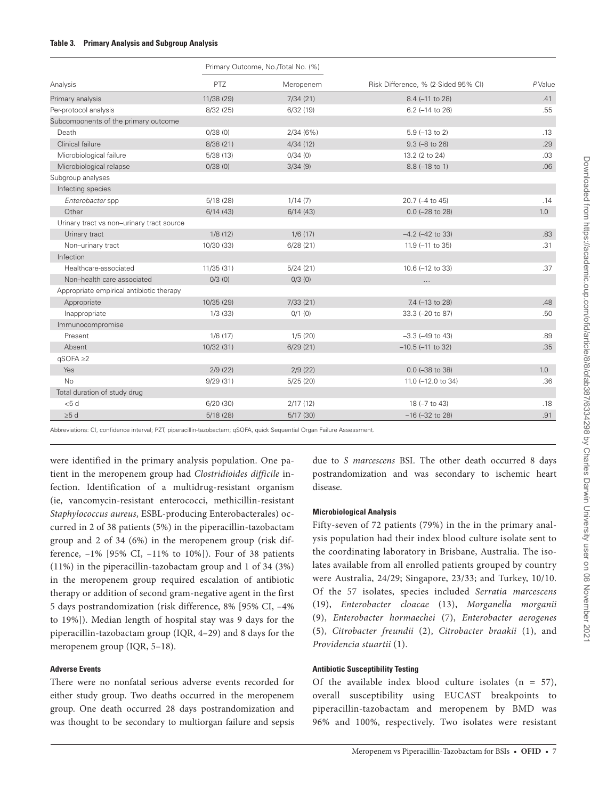#### <span id="page-7-0"></span>**Table 3. Primary Analysis and Subgroup Analysis**

|                                           |            | Primary Outcome, No./Total No. (%) |                                     |        |
|-------------------------------------------|------------|------------------------------------|-------------------------------------|--------|
| Analysis                                  | PTZ        | Meropenem                          | Risk Difference, % (2-Sided 95% CI) | PValue |
| Primary analysis                          | 11/38 (29) | 7/34(21)                           | 8.4 (-11 to 28)                     | .41    |
| Per-protocol analysis                     | 8/32 (25)  | 6/32(19)                           | $6.2$ (-14 to 26)                   | .55    |
| Subcomponents of the primary outcome      |            |                                    |                                     |        |
| Death                                     | 0/38(0)    | 2/34(6%)                           | $5.9$ (-13 to 2)                    | .13    |
| Clinical failure                          | 8/38(21)   | 4/34(12)                           | $9.3$ ( $-8$ to $26$ )              | .29    |
| Microbiological failure                   | 5/38(13)   | 0/34(0)                            | 13.2 (2 to 24)                      | .03    |
| Microbiological relapse                   | 0/38(0)    | 3/34(9)                            | $8.8(-18 to 1)$                     | .06    |
| Subgroup analyses                         |            |                                    |                                     |        |
| Infecting species                         |            |                                    |                                     |        |
| Enterobacter spp                          | 5/18(28)   | 1/14(7)                            | 20.7 (-4 to 45)                     | .14    |
| Other                                     | 6/14(43)   | 6/14(43)                           | $0.0$ (-28 to 28)                   | 1.0    |
| Urinary tract vs non-urinary tract source |            |                                    |                                     |        |
| Urinary tract                             | 1/8(12)    | 1/6(17)                            | $-4.2$ ( $-42$ to 33)               | .83    |
| Non-urinary tract                         | 10/30 (33) | 6/28(21)                           | 11.9 (-11 to 35)                    | .31    |
| Infection                                 |            |                                    |                                     |        |
| Healthcare-associated                     | 11/35 (31) | 5/24(21)                           | 10.6 (-12 to 33)                    | .37    |
| Non-health care associated                | 0/3(0)     | 0/3(0)                             |                                     |        |
| Appropriate empirical antibiotic therapy  |            |                                    |                                     |        |
| Appropriate                               | 10/35 (29) | 7/33(21)                           | 7.4 (-13 to 28)                     | .48    |
| Inappropriate                             | 1/3(33)    | $0/1$ (0)                          | 33.3 (-20 to 87)                    | .50    |
| Immunocompromise                          |            |                                    |                                     |        |
| Present                                   | 1/6(17)    | 1/5(20)                            | $-3.3$ ( $-49$ to $43$ )            | .89    |
| Absent                                    | 10/32 (31) | 6/29(21)                           | $-10.5$ ( $-11$ to 32)              | .35    |
| $qSOFA \geq 2$                            |            |                                    |                                     |        |
| Yes                                       | 2/9(22)    | 2/9(22)                            | $0.0$ ( $-38$ to 38)                | 1.0    |
| <b>No</b>                                 | 9/29(31)   | 5/25(20)                           | 11.0 (-12.0 to 34)                  | .36    |
| Total duration of study drug              |            |                                    |                                     |        |
| < 5 d                                     | 6/20(30)   | 2/17(12)                           | 18 (-7 to 43)                       | .18    |
| $\geq 5$ d                                | 5/18(28)   | 5/17(30)                           | $-16$ ( $-32$ to 28)                | .91    |

Abbreviations: CI, confidence interval; PZT, piperacillin-tazobactam; qSOFA, quick Sequential Organ Failure Assessment.

were identified in the primary analysis population. One patient in the meropenem group had *Clostridioides difficile* infection. Identification of a multidrug-resistant organism (ie, vancomycin-resistant enterococci, methicillin-resistant *Staphylococcus aureus*, ESBL-producing Enterobacterales) occurred in 2 of 38 patients (5%) in the piperacillin-tazobactam group and 2 of 34 (6%) in the meropenem group (risk difference, –1% [95% CI, –11% to 10%]). Four of 38 patients (11%) in the piperacillin-tazobactam group and 1 of 34 (3%) in the meropenem group required escalation of antibiotic therapy or addition of second gram-negative agent in the first 5 days postrandomization (risk difference, 8% [95% CI, –4% to 19%]). Median length of hospital stay was 9 days for the piperacillin-tazobactam group (IQR, 4–29) and 8 days for the meropenem group (IQR, 5–18).

# **Adverse Events**

There were no nonfatal serious adverse events recorded for either study group. Two deaths occurred in the meropenem group. One death occurred 28 days postrandomization and was thought to be secondary to multiorgan failure and sepsis due to *S marcescens* BSI. The other death occurred 8 days postrandomization and was secondary to ischemic heart disease.

#### **Microbiological Analysis**

Fifty-seven of 72 patients (79%) in the in the primary analysis population had their index blood culture isolate sent to the coordinating laboratory in Brisbane, Australia. The isolates available from all enrolled patients grouped by country were Australia, 24/29; Singapore, 23/33; and Turkey, 10/10. Of the 57 isolates, species included *Serratia marcescens* (19), *Enterobacter cloacae* (13), *Morganella morganii* (9), *Enterobacter hormaechei* (7), *Enterobacter aerogenes* (5), *Citrobacter freundii* (2), *Citrobacter braakii* (1), and *Providencia stuartii* (1).

# **Antibiotic Susceptibility Testing**

Of the available index blood culture isolates  $(n = 57)$ , overall susceptibility using EUCAST breakpoints to piperacillin-tazobactam and meropenem by BMD was 96% and 100%, respectively. Two isolates were resistant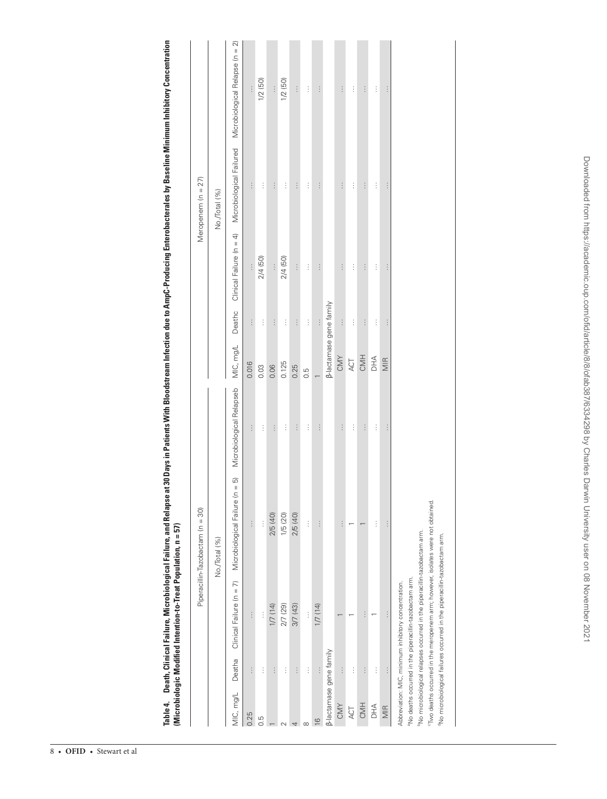<span id="page-8-0"></span>

| ļ                             |                  |
|-------------------------------|------------------|
|                               |                  |
|                               |                  |
|                               |                  |
|                               |                  |
|                               |                  |
|                               |                  |
|                               |                  |
|                               |                  |
|                               |                  |
|                               |                  |
|                               |                  |
|                               |                  |
|                               |                  |
|                               |                  |
|                               |                  |
|                               |                  |
|                               |                  |
|                               |                  |
|                               |                  |
|                               |                  |
|                               |                  |
|                               |                  |
|                               |                  |
| $\overline{a}$                |                  |
|                               |                  |
|                               |                  |
|                               |                  |
| í<br>í                        |                  |
| į<br>l                        |                  |
| í<br>ī<br>ļ                   |                  |
|                               | $\tilde{h}$<br>I |
| ļ                             | II.              |
| ĩ                             | l                |
| ֘֝֬                           |                  |
| I<br>$\overline{\phantom{a}}$ |                  |
| ï<br>$\overline{\phantom{a}}$ | I<br>l<br>I      |
|                               |                  |
|                               |                  |
|                               |                  |
| $\frac{1}{2}$                 |                  |
|                               | í                |
| í<br>I<br>j<br>֚              |                  |
|                               | l<br>d           |
| 4                             | j<br>l<br>i<br>Ï |
|                               |                  |

|                                |          |                                                                                             | Piperacillin-Tazobactam (n = 30)   |                          |                         |          |                          | Meropenem (n = 27)       |                                 |
|--------------------------------|----------|---------------------------------------------------------------------------------------------|------------------------------------|--------------------------|-------------------------|----------|--------------------------|--------------------------|---------------------------------|
|                                |          |                                                                                             | No./Total (%)                      |                          |                         |          |                          | No./Total (%)            |                                 |
| MIC, mg/L                      | Deatha   | Clinical Failure (n = 7)                                                                    | $=5$<br>Microbiological Failure (n | Microbiological Relapseb | MIC, mg/L               | Deathc   | Clinical Failure (n = 4) | Microbiological Failured | Microbiological Relapse (n = 2) |
| 0.25                           | $\vdots$ | $\vdots$                                                                                    | $\vdots$                           | $\vdots$                 | 0.016                   | $\vdots$ | $\vdots$                 | $\vdots$                 | $\vdots$                        |
| 0.5                            | $\vdots$ | $\vdots$                                                                                    | $\vdots$                           | Ì                        | 0.03                    | $\vdots$ | 2/4 (50)                 | $\vdots$                 | 1/2(50)                         |
|                                | $\vdots$ | 1/7 (14)                                                                                    | 2/5 (40)                           | $\vdots$                 | 0.06                    | $\vdots$ | $\vdots$                 | $\vdots$                 | $\vdots$                        |
|                                | $\vdots$ | 2/7 (29)                                                                                    | 1/5 (20)                           | $\vdots$                 | 0.125                   | $\vdots$ | 2/4 (50)                 | $\vdots$                 | 1/2(50)                         |
|                                | $\vdots$ | 3/7 (43)                                                                                    | 2/5 (40)                           | $\vdots$                 | 0.25                    | $\vdots$ | $\vdots$                 | $\vdots$                 | $\vdots$                        |
| $\alpha$                       | $\vdots$ | $\vdots$                                                                                    | $\vdots$                           | $\vdots$                 | 0.5                     | $\vdots$ | $\vdots$                 | $\vdots$                 | $\vdots$                        |
| $\overline{6}$                 | $\vdots$ | 1/7 (14)                                                                                    | $\vdots$                           | $\vdots$                 |                         | $\vdots$ | $\vdots$                 | $\vdots$                 | $\vdots$                        |
| <b>β-lactamase gene family</b> |          |                                                                                             |                                    |                          | β-lactamase gene family |          |                          |                          |                                 |
| CMY                            | $\vdots$ |                                                                                             | $\vdots$                           | $\vdots$                 | CMY                     | $\vdots$ | $\vdots$                 | $\vdots$                 | $\vdots$                        |
| ACT                            | $\vdots$ |                                                                                             |                                    | $\vdots$                 | ACT                     | $\vdots$ | Ì                        | $\vdots$                 | $\vdots$                        |
| CMH                            | $\vdots$ | $\vdots$                                                                                    |                                    | $\vdots$                 | CMH                     | $\vdots$ | $\vdots$                 | $\vdots$                 | $\vdots$                        |
| DHA                            | $\vdots$ |                                                                                             | $\vdots$                           | $\vdots$                 | $\exists$               | Ì        | $\vdots$                 | $\vdots$                 | $\vdots$                        |
| MIR                            | $\vdots$ |                                                                                             | $\vdots$                           | $\vdots$                 | MIR                     | $\vdots$ | $\vdots$                 | $\vdots$                 | $\vdots$                        |
|                                |          | Abbreviation: MIC, minimum inhibitory concentration.                                        |                                    |                          |                         |          |                          |                          |                                 |
|                                |          | aNo deaths occurred in the piperacillin-tazobactam arm.                                     |                                    |                          |                         |          |                          |                          |                                 |
|                                |          | <sup>b</sup> No microbiological relapses occurred in the piperacillin-tazobactam arm.       |                                    |                          |                         |          |                          |                          |                                 |
|                                |          | <sup>c</sup> Two deaths occurred in the meropenem arm; however, isolates were not obtained. |                                    |                          |                         |          |                          |                          |                                 |
|                                |          | <sup>d</sup> No microbiological failures occurred in the piperacillin-tazobactam arm.       |                                    |                          |                         |          |                          |                          |                                 |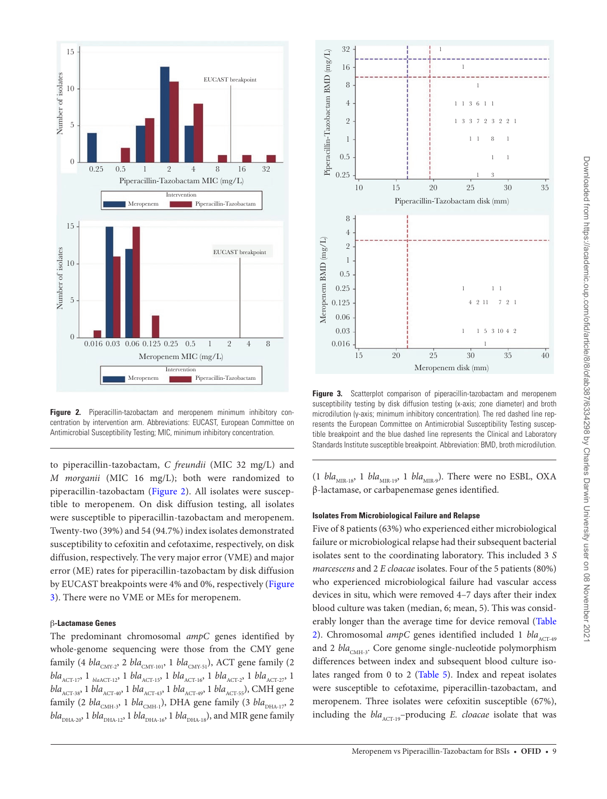

<span id="page-9-0"></span>**Figure 2.** Piperacillin-tazobactam and meropenem minimum inhibitory concentration by intervention arm. Abbreviations: EUCAST, European Committee on Antimicrobial Susceptibility Testing; MIC, minimum inhibitory concentration.

to piperacillin-tazobactam, *C freundii* (MIC 32 mg/L) and *M morganii* (MIC 16 mg/L); both were randomized to piperacillin-tazobactam ([Figure 2\)](#page-9-0). All isolates were susceptible to meropenem. On disk diffusion testing, all isolates were susceptible to piperacillin-tazobactam and meropenem. Twenty-two (39%) and 54 (94.7%) index isolates demonstrated susceptibility to cefoxitin and cefotaxime, respectively, on disk diffusion, respectively. The very major error (VME) and major error (ME) rates for piperacillin-tazobactam by disk diffusion by EUCAST breakpoints were 4% and 0%, respectively ([Figure](#page-9-1) [3\)](#page-9-1). There were no VME or MEs for meropenem.

#### β**-Lactamase Genes**

The predominant chromosomal *ampC* genes identified by whole-genome sequencing were those from the CMY gene family (4 *bla*<sub>CMY-2</sub>, 2 *bla*<sub>CMY-101</sub>, 1 *bla*<sub>CMY-51</sub>), ACT gene family (2  $bla_{\text{ACT-17}}$ , 1  $bla_{\text{MACT-12}}$ , 1  $bla_{\text{ACT-15}}$ , 1  $bla_{\text{ACT-16}}$ , 1  $bla_{\text{ACT-27}}$ , 1  $bla_{\text{ACT-27}}$ , 1 *bla*<sub>ACT-38</sub>, 1 *bla*<sub>ACT-40</sub>, 1 *bla*<sub>ACT-43</sub>, 1 *bla*<sub>ACT-49</sub>, 1 *bla*<sub>ACT-55</sub>), CMH gene family (2 *bla*<sub>CMH-3</sub>, 1 *bla*<sub>CMH-1</sub>), DHA gene family (3 *bla*<sub>DHA-17</sub>, 2  $bla_{\rm DHA\text{-}20}$ 1 *bla*<sub>DHA-12</sub>, 1 *bla*<sub>DHA-16</sub>, 1 *bla*<sub>DHA-18</sub>), and MIR gene family



<span id="page-9-1"></span>Figure 3. Scatterplot comparison of piperacillin-tazobactam and meropenem susceptibility testing by disk diffusion testing (x-axis; zone diameter) and broth microdilution (y-axis; minimum inhibitory concentration). The red dashed line represents the European Committee on Antimicrobial Susceptibility Testing susceptible breakpoint and the blue dashed line represents the Clinical and Laboratory Standards Institute susceptible breakpoint. Abbreviation: BMD, broth microdilution.

(1 *bla*<sub>MIR-18</sub>, 1 *bla*<sub>MIR-19</sub>, 1 *bla*<sub>MIR-9</sub>). There were no ESBL, OXA β-lactamase, or carbapenemase genes identified.

### **Isolates From Microbiological Failure and Relapse**

Five of 8 patients (63%) who experienced either microbiological failure or microbiological relapse had their subsequent bacterial isolates sent to the coordinating laboratory. This included 3 *S marcescens* and 2 *E cloacae* isolates. Four of the 5 patients (80%) who experienced microbiological failure had vascular access devices in situ, which were removed 4–7 days after their index blood culture was taken (median, 6; mean, 5). This was considerably longer than the average time for device removal ([Table](#page-5-0)  [2\)](#page-5-0). Chromosomal *ampC* genes identified included 1 *bla*<sub>ACT-49</sub> and 2 *bla*<sub>CMH-3</sub>. Core genome single-nucleotide polymorphism differences between index and subsequent blood culture isolates ranged from 0 to 2 [\(Table 5\)](#page-10-0). Index and repeat isolates were susceptible to cefotaxime, piperacillin-tazobactam, and meropenem. Three isolates were cefoxitin susceptible (67%), including the *bla*<sub>ACT-19</sub>-producing *E. cloacae* isolate that was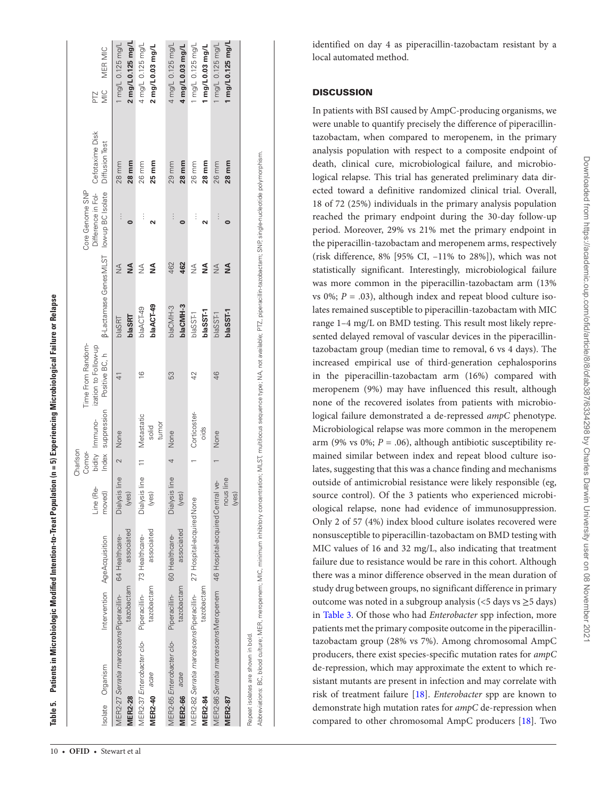| Isolate Organism                                                                        |                             | Intervention AgeAcquisition                   | Line (Re-<br>moved)       | Charlson<br>Comor-<br>Index | bidity Immuno-               | Time From Random-<br>ization to Follow-up<br>suppression Positive BC, h |                         |                    | Difference in Fol-<br>Core Genome SNP<br>B-Lactamase Genes MLST low-up BC Isolate | Cefotaxime Disk<br>Diffusion Test | MER MIC<br>PIZ<br>Mic                 |
|-----------------------------------------------------------------------------------------|-----------------------------|-----------------------------------------------|---------------------------|-----------------------------|------------------------------|-------------------------------------------------------------------------|-------------------------|--------------------|-----------------------------------------------------------------------------------|-----------------------------------|---------------------------------------|
| MER2-27 Serratia marcescens Piperacillin-<br><b>MER2-28</b>                             | tazobactam                  | associated<br>64 Healthcare-                  | Dialysis line<br>(yes)    | $\sim$                      | None                         | ₹                                                                       | blaSRT<br><b>blaSRT</b> | ≸<br>$\frac{1}{2}$ |                                                                                   | 28 mm<br>28 mm                    | 2 mg/L0.125 mg/L<br>1 mg/L 0.125 mg/L |
| MER2-37 Enterobacter clo-<br><b>MER2-40</b> acae                                        | tazobactam                  | associated<br>Piperacillin-<br>73 Healthcare- | Dialysis line 11<br>(yes) |                             | Metastatic<br>tumor<br>solid | $\frac{6}{2}$                                                           | blaACT-49<br>blaACT-49  | ≸<br>₹             | $\vdots$                                                                          | $25 \, \text{mm}$<br>26 mm        | 4 mg/L 0.125 mg/L<br>2 mg/L0.03 mg/L  |
| MER2-65 Enterobacter clo-<br><b>MER2-66</b> acae                                        | tazobactam<br>Piperacillin- | associated<br>60 Healthcare-                  | Dialysis line<br>(yes)    |                             | None                         | 53                                                                      | blaCMH-3<br>blaCMH-3    | 462<br>462         |                                                                                   | 28 mm<br>29 mm                    | 4 mg/L 0.125 mg/L<br>4 mg/L0.03 mg/L  |
| MER2-82 Serratia marcescensPiperacillin-<br>27 Hospital-acquired None<br><b>MER2-84</b> | tazobactam                  |                                               |                           |                             | Corticoster-<br>oids         | 42                                                                      | blaSST-1<br>blaSSF1     | ≸<br>≸             | $\vdots$                                                                          | 28 mm<br>26 mm                    | 1 mg/L 0.125 mg/L<br>1 mg/L0.03 mg/L  |
| MER2-86 Serratia marcescensMeropenem 46 Hospital-acquired Central ve-<br><b>MER2-87</b> |                             |                                               | nous line<br>(yes)        |                             | None                         | 46                                                                      | blaSST-1<br>blaSSF1     | ≸<br>₹             |                                                                                   | 26 mm<br>28 mm                    | 1 mg/L0.125 mg/L<br>1 mg/L 0.125 mg/L |
| Repeat isolates are shown in bold.                                                      |                             |                                               |                           |                             |                              |                                                                         |                         |                    |                                                                                   |                                   |                                       |

Abbreviations: BC, blood culture; MER, meropenem; MIC, minimum inhibitory concentration; MLST, multilocus sequence type; NA, not available; PTZ, piperacillin-tazobactam; SNP, single-nucleotide polymorphism.

Abbreviations: BC, blood culture; MER, meropenem; MIC, minimum inhibitory concentration; MLST, multilocus sequence type; NA, not available; PTZ, piperacilin-tazobactam; SNP, single-nucleotide polymorphism.

**Table 5. Patients in Microbiologic Modified Intention-to-Treat Population (n = 5) Experiencing Microbiological Failure or Relapse**

<span id="page-10-0"></span>Table 5. Patients in Microbiologic Modified Intention-to-Treat Population (n = 5) Experiencing Microbiological Failure or Relapse

identified on day 4 as piperacillin-tazobactam resistant by a local automated method.

# **DISCUSSION**

In patients with BSI caused by AmpC-producing organisms, we were unable to quantify precisely the difference of piperacillintazobactam, when compared to meropenem, in the primary analysis population with respect to a composite endpoint of death, clinical cure, microbiological failure, and microbio logical relapse. This trial has generated preliminary data dir ected toward a definitive randomized clinical trial. Overall, 18 of 72 (25%) individuals in the primary analysis population reached the primary endpoint during the 30-day follow-up period. Moreover, 29% vs 21% met the primary endpoint in the piperacillin-tazobactam and meropenem arms, respectively (risk difference, 8% [95% CI, –11% to 28%]), which was not statistically significant. Interestingly, microbiological failure was more common in the piperacillin-tazobactam arm (13%  $\mathbf{v}$ s 0%;  $P = .03$ ), although index and repeat blood culture isolates remained susceptible to piperacillin-tazobactam with MIC range 1–4 mg/L on BMD testing. This result most likely repre sented delayed removal of vascular devices in the piperacillintazobactam group (median time to removal, 6 vs 4 days). The increased empirical use of third-generation cephalosporins in the piperacillin-tazobactam arm (16%) compared with meropenem (9%) may have influenced this result, although none of the recovered isolates from patients with microbio logical failure demonstrated a de-repressed *ampC* phenotype. Microbiological relapse was more common in the meropenem arm (9% vs 0%; *P* = .06), although antibiotic susceptibility re mained similar between index and repeat blood culture iso lates, suggesting that this was a chance finding and mechanisms outside of antimicrobial resistance were likely responsible (eg, source control). Of the 3 patients who experienced microbi ological relapse, none had evidence of immunosuppression. Only 2 of 57 (4%) index blood culture isolates recovered were nonsusceptible to piperacillin-tazobactam on BMD testing with MIC values of 16 and 32 mg/L, also indicating that treatment failure due to resistance would be rare in this cohort. Although there was a minor difference observed in the mean duration of study drug between groups, no significant difference in primary outcome was noted in a subgroup analysis (<5 days vs ≥5 days) in [Table 3.](#page-7-0) Of those who had *Enterobacter* spp infection, more patients met the primary composite outcome in the piperacillintazobactam group (28% vs 7%). Among chromosomal AmpC producers, there exist species-specific mutation rates for *ampC* de-repression, which may approximate the extent to which re sistant mutants are present in infection and may correlate with risk of treatment failure [[18\]](#page-12-13). *Enterobacter* spp are known to demonstrate high mutation rates for *ampC* de-repression when compared to other chromosomal AmpC producers [[18\]](#page-12-13). Two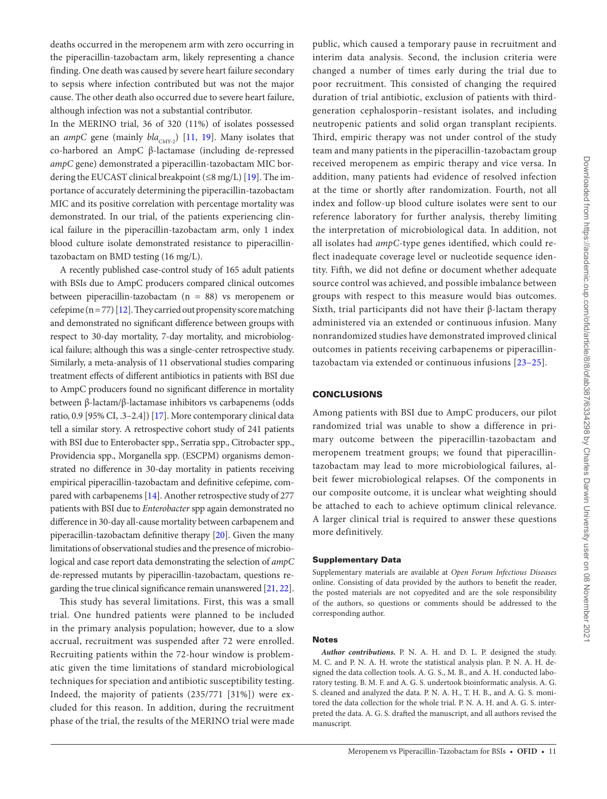deaths occurred in the meropenem arm with zero occurring in the piperacillin-tazobactam arm, likely representing a chance finding. One death was caused by severe heart failure secondary to sepsis where infection contributed but was not the major cause. The other death also occurred due to severe heart failure, although infection was not a substantial contributor.

In the MERINO trial, 36 of 320 (11%) of isolates possessed an *ampC* gene (mainly  $bla_{CMY-2}$ ) [\[11](#page-12-8), [19](#page-12-14)]. Many isolates that co-harbored an AmpC β-lactamase (including de-repressed *ampC* gene) demonstrated a piperacillin-tazobactam MIC bordering the EUCAST clinical breakpoint  $(\leq 8 \text{ mg/L})$  [[19\]](#page-12-14). The importance of accurately determining the piperacillin-tazobactam MIC and its positive correlation with percentage mortality was demonstrated. In our trial, of the patients experiencing clinical failure in the piperacillin-tazobactam arm, only 1 index blood culture isolate demonstrated resistance to piperacillintazobactam on BMD testing (16 mg/L).

A recently published case-control study of 165 adult patients with BSIs due to AmpC producers compared clinical outcomes between piperacillin-tazobactam (n = 88) vs meropenem or cefepime  $(n = 77)$  [\[12](#page-12-9)]. They carried out propensity score matching and demonstrated no significant difference between groups with respect to 30-day mortality, 7-day mortality, and microbiological failure; although this was a single-center retrospective study. Similarly, a meta-analysis of 11 observational studies comparing treatment effects of different antibiotics in patients with BSI due to AmpC producers found no significant difference in mortality between β-lactam/β-lactamase inhibitors vs carbapenems (odds ratio, 0.9 [95% CI, .3–2.4]) [\[17](#page-12-12)]. More contemporary clinical data tell a similar story. A retrospective cohort study of 241 patients with BSI due to Enterobacter spp., Serratia spp., Citrobacter spp., Providencia spp., Morganella spp. (ESCPM) organisms demonstrated no difference in 30-day mortality in patients receiving empirical piperacillin-tazobactam and definitive cefepime, com-pared with carbapenems [[14](#page-12-11)]. Another retrospective study of 277 patients with BSI due to *Enterobacter* spp again demonstrated no difference in 30-day all-cause mortality between carbapenem and piperacillin-tazobactam definitive therapy [\[20](#page-12-15)]. Given the many limitations of observational studies and the presence of microbiological and case report data demonstrating the selection of *ampC* de-repressed mutants by piperacillin-tazobactam, questions regarding the true clinical significance remain unanswered [\[21,](#page-12-16) [22\]](#page-12-17).

This study has several limitations. First, this was a small trial. One hundred patients were planned to be included in the primary analysis population; however, due to a slow accrual, recruitment was suspended after 72 were enrolled. Recruiting patients within the 72-hour window is problematic given the time limitations of standard microbiological techniques for speciation and antibiotic susceptibility testing. Indeed, the majority of patients (235/771 [31%]) were excluded for this reason. In addition, during the recruitment phase of the trial, the results of the MERINO trial were made

public, which caused a temporary pause in recruitment and interim data analysis. Second, the inclusion criteria were changed a number of times early during the trial due to poor recruitment. This consisted of changing the required duration of trial antibiotic, exclusion of patients with thirdgeneration cephalosporin–resistant isolates, and including neutropenic patients and solid organ transplant recipients. Third, empiric therapy was not under control of the study team and many patients in the piperacillin-tazobactam group received meropenem as empiric therapy and vice versa. In addition, many patients had evidence of resolved infection at the time or shortly after randomization. Fourth, not all index and follow-up blood culture isolates were sent to our reference laboratory for further analysis, thereby limiting the interpretation of microbiological data. In addition, not all isolates had *ampC*-type genes identified, which could reflect inadequate coverage level or nucleotide sequence identity. Fifth, we did not define or document whether adequate source control was achieved, and possible imbalance between groups with respect to this measure would bias outcomes. Sixth, trial participants did not have their β-lactam therapy administered via an extended or continuous infusion. Many nonrandomized studies have demonstrated improved clinical outcomes in patients receiving carbapenems or piperacillintazobactam via extended or continuous infusions [[23–](#page-12-18)[25](#page-12-19)].

# **CONCLUSIONS**

Among patients with BSI due to AmpC producers, our pilot randomized trial was unable to show a difference in primary outcome between the piperacillin-tazobactam and meropenem treatment groups; we found that piperacillintazobactam may lead to more microbiological failures, albeit fewer microbiological relapses. Of the components in our composite outcome, it is unclear what weighting should be attached to each to achieve optimum clinical relevance. A larger clinical trial is required to answer these questions more definitively.

## Supplementary Data

Supplementary materials are available at *Open Forum Infectious Diseases* online. Consisting of data provided by the authors to benefit the reader, the posted materials are not copyedited and are the sole responsibility of the authors, so questions or comments should be addressed to the corresponding author.

#### **Notes**

*Author contributions.* P. N. A. H. and D. L. P. designed the study. M. C. and P. N. A. H. wrote the statistical analysis plan. P. N. A. H. designed the data collection tools. A. G. S., M. B., and A. H. conducted laboratory testing. B. M. F. and A. G. S. undertook bioinformatic analysis. A. G. S. cleaned and analyzed the data. P. N. A. H., T. H. B., and A. G. S. monitored the data collection for the whole trial. P. N. A. H. and A. G. S. interpreted the data. A. G. S. drafted the manuscript, and all authors revised the manuscript.